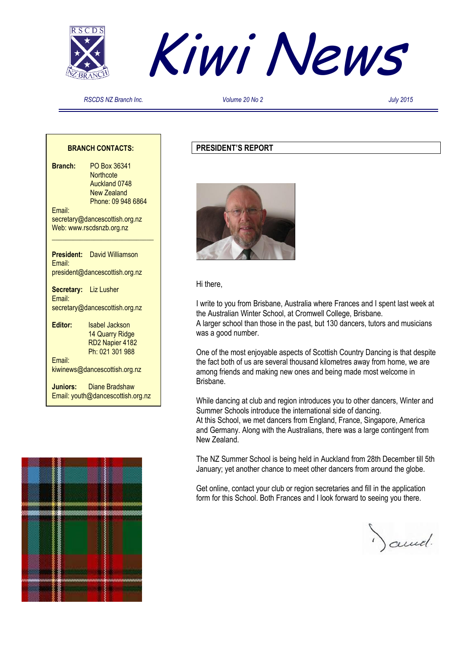



*RSCDS NZ Branch Inc. Volume 20 No 2 July 2015*

#### **BRANCH CONTACTS:**

**Branch:** PO Box 36341 **Northcote**  Auckland 0748 New Zealand Phone: 09 948 6864 Email: secretary@dancescottish.org.nz Web: www.rscdsnzb.org.nz **\_\_\_\_\_\_\_\_\_\_\_\_\_\_\_\_\_\_\_\_\_\_\_\_\_\_\_\_\_ President:** David Williamson Email: president@dancescottish.org.nz **Secretary:** Liz Lusher Email: secretary@dancescottish.org.nz

**Editor:** Isabel Jackson 14 Quarry Ridge RD2 Napier 4182 Ph: 021 301 988 Email:

kiwinews@dancescottish.org.nz

**Juniors:** Diane Bradshaw Email: youth@dancescottish.org.nz



#### **PRESIDENT'S REPORT**



Hi there,

I write to you from Brisbane, Australia where Frances and I spent last week at the Australian Winter School, at Cromwell College, Brisbane. A larger school than those in the past, but 130 dancers, tutors and musicians was a good number.

One of the most enjoyable aspects of Scottish Country Dancing is that despite the fact both of us are several thousand kilometres away from home, we are among friends and making new ones and being made most welcome in Brisbane.

While dancing at club and region introduces you to other dancers, Winter and Summer Schools introduce the international side of dancing. At this School, we met dancers from England, France, Singapore, America and Germany. Along with the Australians, there was a large contingent from New Zealand.

The NZ Summer School is being held in Auckland from 28th December till 5th January; yet another chance to meet other dancers from around the globe.

Get online, contact your club or region secretaries and fill in the application form for this School. Both Frances and I look forward to seeing you there.

Januel.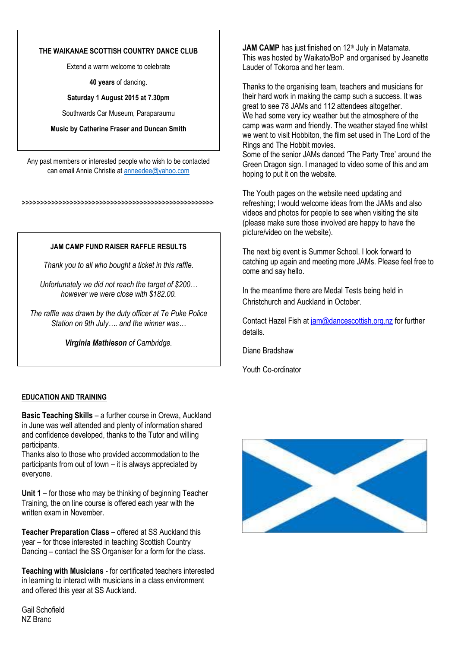#### **THE WAIKANAE SCOTTISH COUNTRY DANCE CLUB**

Extend a warm welcome to celebrate

**40 years** of dancing.

#### **Saturday 1 August 2015 at 7.30pm**

Southwards Car Museum, Paraparaumu

#### **Music by Catherine Fraser and Duncan Smith**

Any past members or interested people who wish to be contacted can email Annie Christie a[t anneedee@yahoo.com](mailto:anneedee@yahoo.com)

>>>>>>>>>>>>>>>>>>>>>>>>>>>>>>>>>>>>>>>>>>>>>>>>>>>>

#### **JAM CAMP FUND RAISER RAFFLE RESULTS**

*Thank you to all who bought a ticket in this raffle.*

*Unfortunately we did not reach the target of \$200… however we were close with \$182.00.*

*The raffle was drawn by the duty officer at Te Puke Police Station on 9th July…. and the winner was…*

*Virginia Mathieson of Cambridge.*

#### **EDUCATION AND TRAINING**

**Basic Teaching Skills** – a further course in Orewa, Auckland in June was well attended and plenty of information shared and confidence developed, thanks to the Tutor and willing participants.

Thanks also to those who provided accommodation to the participants from out of town – it is always appreciated by everyone.

**Unit 1** – for those who may be thinking of beginning Teacher Training, the on line course is offered each year with the written exam in November.

**Teacher Preparation Class** – offered at SS Auckland this year – for those interested in teaching Scottish Country Dancing – contact the SS Organiser for a form for the class.

**Teaching with Musicians** - for certificated teachers interested in learning to interact with musicians in a class environment and offered this year at SS Auckland.

Gail Schofield NZ Branc

**JAM CAMP** has just finished on 12<sup>th</sup> July in Matamata. This was hosted by Waikato/BoP and organised by Jeanette Lauder of Tokoroa and her team.

Thanks to the organising team, teachers and musicians for their hard work in making the camp such a success. It was great to see 78 JAMs and 112 attendees altogether. We had some very icy weather but the atmosphere of the camp was warm and friendly. The weather stayed fine whilst we went to visit Hobbiton, the film set used in The Lord of the Rings and The Hobbit movies.

Some of the senior JAMs danced 'The Party Tree' around the Green Dragon sign. I managed to video some of this and am hoping to put it on the website.

The Youth pages on the website need updating and refreshing; I would welcome ideas from the JAMs and also videos and photos for people to see when visiting the site (please make sure those involved are happy to have the picture/video on the website).

The next big event is Summer School. I look forward to catching up again and meeting more JAMs. Please feel free to come and say hello.

In the meantime there are Medal Tests being held in Christchurch and Auckland in October.

Contact Hazel Fish at [jam@dancescottish.org.nz](mailto:jam@dancescottish.org.nz) for further details.

Diane Bradshaw

Youth Co-ordinator

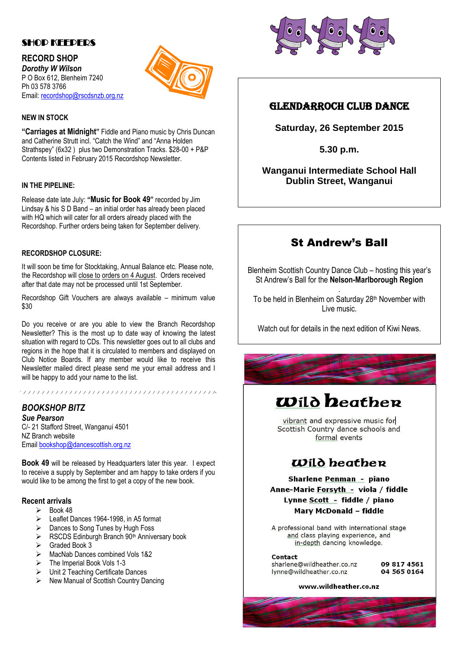### SHOP KEEPERS

**RECORD SHOP** *Dorothy W Wilson* P O Box 612, Blenheim 7240 Ph 03 578 3766 Email: [recordshop@rscdsnzb.org.nz](mailto:recordshop@rscdsnzb.org.nz)



#### **NEW IN STOCK**

**"Carriages at Midnight"** Fiddle and Piano music by Chris Duncan and Catherine Strutt incl. "Catch the Wind" and "Anna Holden Strathspey" (6x32 ) plus two Demonstration Tracks. \$28-00 + P&P Contents listed in February 2015 Recordshop Newsletter.

#### **IN THE PIPELINE:**

Release date late July: **"Music for Book 49"** recorded by Jim Lindsay & his S D Band – an initial order has already been placed with HQ which will cater for all orders already placed with the Recordshop. Further orders being taken for September delivery.

#### **RECORDSHOP CLOSURE:**

It will soon be time for Stocktaking, Annual Balance etc. Please note, the Recordshop will close to orders on 4 August. Orders received after that date may not be processed until 1st September.

Recordshop Gift Vouchers are always available – minimum value \$30

Do you receive or are you able to view the Branch Recordshop Newsletter? This is the most up to date way of knowing the latest situation with regard to CDs. This newsletter goes out to all clubs and regions in the hope that it is circulated to members and displayed on Club Notice Boards. If any member would like to receive this Newsletter mailed direct please send me your email address and I will be happy to add your name to the list.

# *BOOKSHOP BITZ*

*Sue Pearson* C/- 21 Stafford Street, Wanganui 4501 NZ Branch website Email [bookshop@dancescottish.org.nz](mailto:bookshop@dancescottish.org.nz)

**Book 49** will be released by Headquarters later this year. I expect to receive a supply by September and am happy to take orders if you would like to be among the first to get a copy of the new book.

#### **Recent arrivals**

- $\triangleright$  Book 48
- Eeaflet Dances 1964-1998, in A5 format
- Dances to Song Tunes by Hugh Foss
- $\triangleright$  RSCDS Edinburgh Branch 90<sup>th</sup> Anniversary book
- Graded Book 3
- MacNab Dances combined Vols 1&2
- The Imperial Book Vols 1-3
- Unit 2 Teaching Certificate Dances
- $\triangleright$  New Manual of Scottish Country Dancing



## GLENDARROCH CLUB DANCE

**Saturday, 26 September 2015**

**5.30 p.m.**

**Wanganui Intermediate School Hall Dublin Street, Wanganui**

# St Andrew's Ball

Blenheim Scottish Country Dance Club – hosting this year's St Andrew's Ball for the **Nelson-Marlborough Region**

. To be held in Blenheim on Saturday 28<sup>th</sup> November with Live music.

Watch out for details in the next edition of Kiwi News.



# **Wild heather**

vibrant and expressive music for Scottish Country dance schools and formal events

# $\omega$ ild beather

**Sharlene Penman - piano** Anne-Marie Forsyth - viola / fiddle Lynne Scott - fiddle / piano **Mary McDonald - fiddle** 

A professional band with international stage and class playing experience, and in-depth dancing knowledge.

Contact

sharlene@wildheather.co.nz Ivnne@wildheather.co.nz

09 817 4561 04 565 0164

www.wildheather.co.nz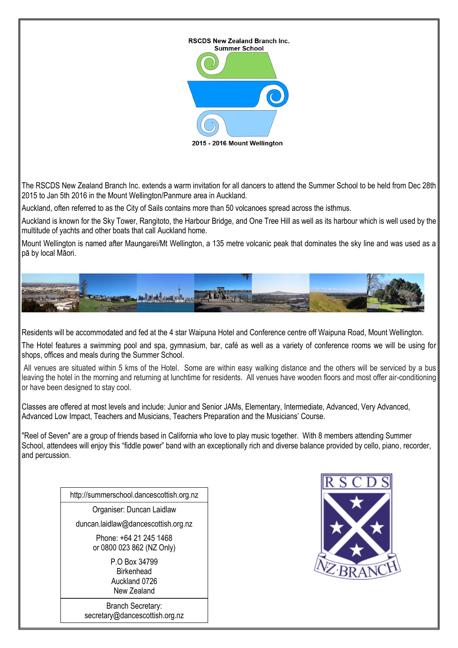

The RSCDS New Zealand Branch Inc. extends a warm invitation for all dancers to attend the Summer School to be held from Dec 28th 2015 to Jan 5th 2016 in the Mount Wellington/Panmure area in Auckland.

Auckland, often referred to as the City of Sails contains more than 50 volcanoes spread across the isthmus.

Auckland is known for the Sky Tower, Rangitoto, the Harbour Bridge, and One Tree Hill as well as its harbour which is well used by the multitude of yachts and other boats that call Auckland home.

Mount Wellington is named after Maungarei/Mt Wellington, a 135 metre volcanic peak that dominates the sky line and was used as a pā by local Māori.



Residents will be accommodated and fed at the 4 star Waipuna Hotel and Conference centre off Waipuna Road, Mount Wellington.

The Hotel features a swimming pool and spa, gymnasium, bar, café as well as a variety of conference rooms we will be using for shops, offices and meals during the Summer School.

All venues are situated within 5 kms of the Hotel. Some are within easy walking distance and the others will be serviced by a bus leaving the hotel in the morning and returning at lunchtime for residents. All venues have wooden floors and most offer air-conditioning or have been designed to stay cool.

Classes are offered at most levels and include: Junior and Senior JAMs, Elementary, Intermediate, Advanced, Very Advanced, Advanced Low Impact, Teachers and Musicians, Teachers Preparation and the Musicians' Course.

"Reel of Seven" are a group of friends based in California who love to play music together. With 8 members attending Summer School, attendees will enjoy this "fiddle power" band with an exceptionally rich and diverse balance provided by cello, piano, recorder, and percussion.

http://summerschool.dancescottish.org.nz

Organiser: Duncan Laidlaw

duncan.laidlaw@dancescottish.org.nz

Phone: +64 21 245 1468 or 0800 023 862 (NZ Only)

> P.O Box 34799 **Birkenhead** Auckland 0726 New Zealand

Branch Secretary: secretary@dancescottish.org.nz